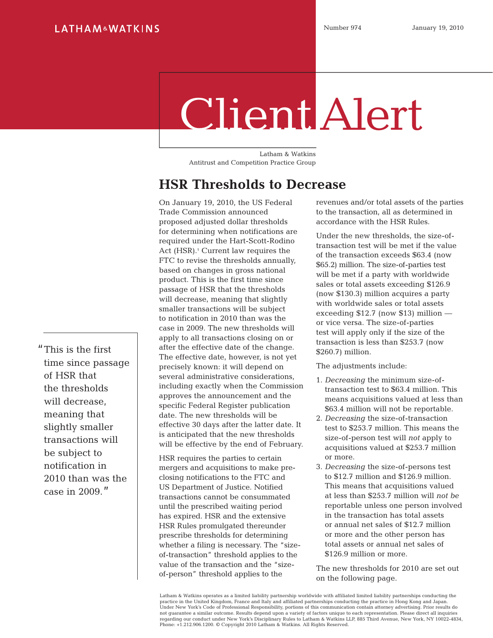# Client Alert

Latham & Watkins Antitrust and Competition Practice Group

## **HSR Thresholds to Decrease**

On January 19, 2010, the US Federal Trade Commission announced proposed adjusted dollar thresholds for determining when notifications are required under the Hart-Scott-Rodino Act (HSR).<sup>1</sup> Current law requires the FTC to revise the thresholds annually, based on changes in gross national product. This is the first time since passage of HSR that the thresholds will decrease, meaning that slightly smaller transactions will be subject to notification in 2010 than was the case in 2009. The new thresholds will apply to all transactions closing on or after the effective date of the change. The effective date, however, is not yet precisely known: it will depend on several administrative considerations, including exactly when the Commission approves the announcement and the specific Federal Register publication date. The new thresholds will be effective 30 days after the latter date. It is anticipated that the new thresholds will be effective by the end of February.

HSR requires the parties to certain mergers and acquisitions to make preclosing notifications to the FTC and US Department of Justice. Notified transactions cannot be consummated until the prescribed waiting period has expired. HSR and the extensive HSR Rules promulgated thereunder prescribe thresholds for determining whether a filing is necessary. The "sizeof-transaction" threshold applies to the value of the transaction and the "sizeof-person" threshold applies to the

revenues and/or total assets of the parties to the transaction, all as determined in accordance with the HSR Rules.

Under the new thresholds, the size-oftransaction test will be met if the value of the transaction exceeds \$63.4 (now \$65.2) million. The size-of-parties test will be met if a party with worldwide sales or total assets exceeding \$126.9 (now \$130.3) million acquires a party with worldwide sales or total assets exceeding \$12.7 (now \$13) million or vice versa. The size-of-parties test will apply only if the size of the transaction is less than \$253.7 (now \$260.7) million.

The adjustments include:

- 1. *Decreasing* the minimum size-oftransaction test to \$63.4 million. This means acquisitions valued at less than \$63.4 million will not be reportable.
- 2. *Decreasing* the size-of-transaction test to \$253.7 million. This means the size-of-person test will *not* apply to acquisitions valued at \$253.7 million or more.
- 3. *Decreasing* the size-of-persons test to \$12.7 million and \$126.9 million. This means that acquisitions valued at less than \$253.7 million will *not be* reportable unless one person involved in the transaction has total assets or annual net sales of \$12.7 million or more and the other person has total assets or annual net sales of \$126.9 million or more.

The new thresholds for 2010 are set out on the following page.

Latham & Watkins operates as a limited liability partnership worldwide with affiliated limited liability partnerships conducting the practice in the United Kingdom, France and Italy and affiliated partnerships conducting the practice in Hong Kong and Japan. Under New York's Code of Professional Responsibility, portions of this communication contain attorney advertising. Prior results do not guarantee a similar outcome. Results depend upon a variety of factors unique to each representation. Please direct all inquiries<br>regarding our conduct under New York's Disciplinary Rules to Latham & Watkins LLP, 885 Th Phone: +1.212.906.1200. © Copyright 2010 Latham & Watkins. All Rights Reserved.

"This is the first time since passage of HSR that the thresholds will decrease, meaning that slightly smaller transactions will be subject to notification in 2010 than was the case in 2009."